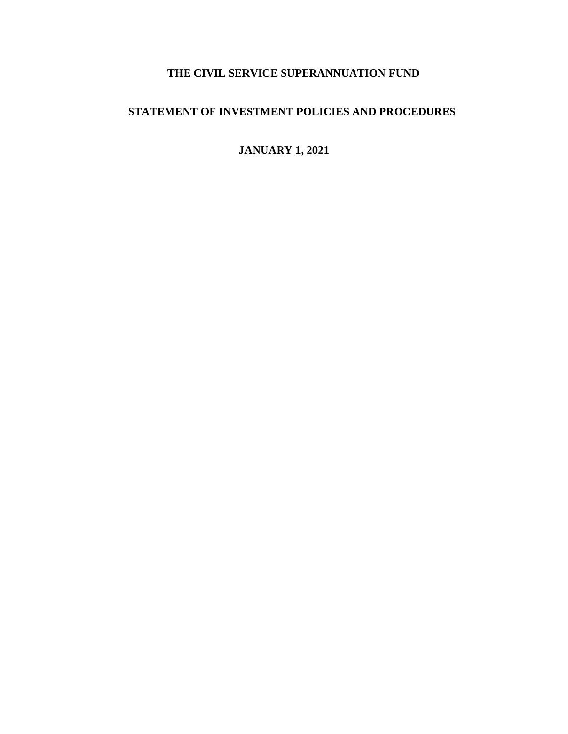# **THE CIVIL SERVICE SUPERANNUATION FUND**

## **STATEMENT OF INVESTMENT POLICIES AND PROCEDURES**

# **JANUARY 1, 2021**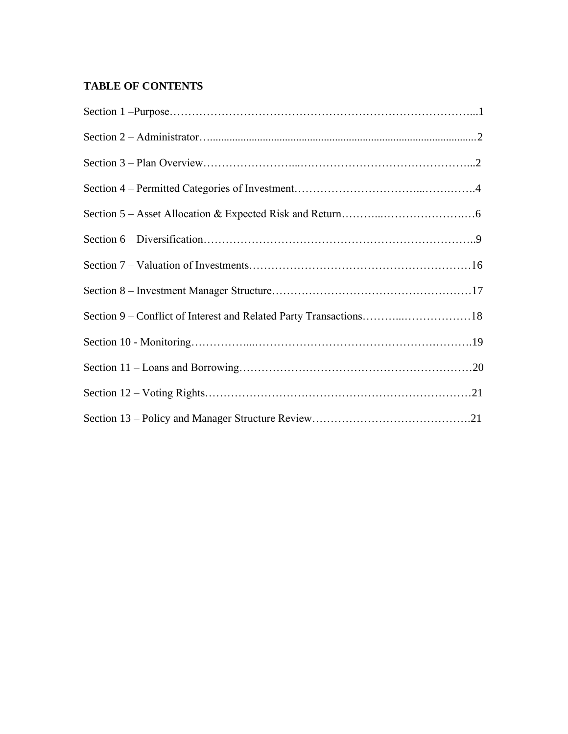## **TABLE OF CONTENTS**

| Section 9 - Conflict of Interest and Related Party Transactions18 |  |
|-------------------------------------------------------------------|--|
|                                                                   |  |
|                                                                   |  |
|                                                                   |  |
|                                                                   |  |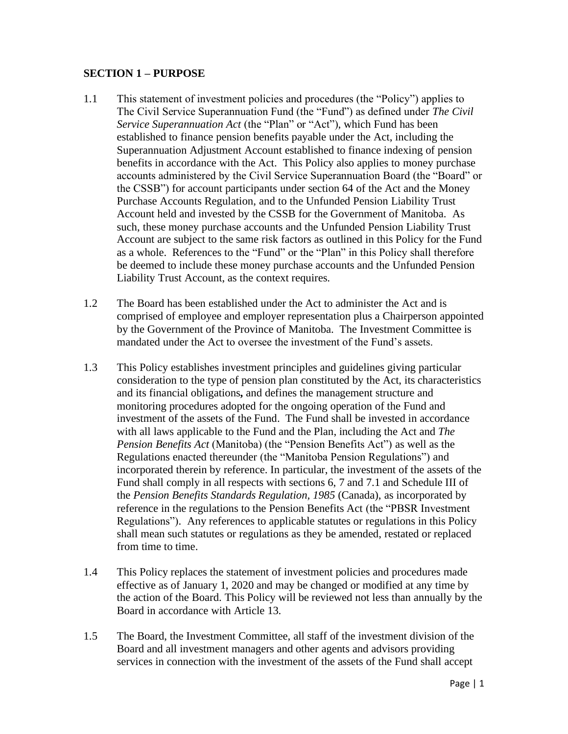#### **SECTION 1 – PURPOSE**

- 1.1 This statement of investment policies and procedures (the "Policy") applies to The Civil Service Superannuation Fund (the "Fund") as defined under *The Civil Service Superannuation Act* (the "Plan" or "Act"), which Fund has been established to finance pension benefits payable under the Act, including the Superannuation Adjustment Account established to finance indexing of pension benefits in accordance with the Act. This Policy also applies to money purchase accounts administered by the Civil Service Superannuation Board (the "Board" or the CSSB") for account participants under section 64 of the Act and the Money Purchase Accounts Regulation, and to the Unfunded Pension Liability Trust Account held and invested by the CSSB for the Government of Manitoba. As such, these money purchase accounts and the Unfunded Pension Liability Trust Account are subject to the same risk factors as outlined in this Policy for the Fund as a whole. References to the "Fund" or the "Plan" in this Policy shall therefore be deemed to include these money purchase accounts and the Unfunded Pension Liability Trust Account, as the context requires.
- 1.2 The Board has been established under the Act to administer the Act and is comprised of employee and employer representation plus a Chairperson appointed by the Government of the Province of Manitoba. The Investment Committee is mandated under the Act to oversee the investment of the Fund's assets.
- 1.3 This Policy establishes investment principles and guidelines giving particular consideration to the type of pension plan constituted by the Act, its characteristics and its financial obligations**,** and defines the management structure and monitoring procedures adopted for the ongoing operation of the Fund and investment of the assets of the Fund. The Fund shall be invested in accordance with all laws applicable to the Fund and the Plan, including the Act and *The Pension Benefits Act* (Manitoba) (the "Pension Benefits Act") as well as the Regulations enacted thereunder (the "Manitoba Pension Regulations") and incorporated therein by reference. In particular, the investment of the assets of the Fund shall comply in all respects with sections 6, 7 and 7.1 and Schedule III of the *Pension Benefits Standards Regulation, 1985* (Canada), as incorporated by reference in the regulations to the Pension Benefits Act (the "PBSR Investment Regulations"). Any references to applicable statutes or regulations in this Policy shall mean such statutes or regulations as they be amended, restated or replaced from time to time.
- 1.4 This Policy replaces the statement of investment policies and procedures made effective as of January 1, 2020 and may be changed or modified at any time by the action of the Board. This Policy will be reviewed not less than annually by the Board in accordance with Article 13.
- 1.5 The Board, the Investment Committee, all staff of the investment division of the Board and all investment managers and other agents and advisors providing services in connection with the investment of the assets of the Fund shall accept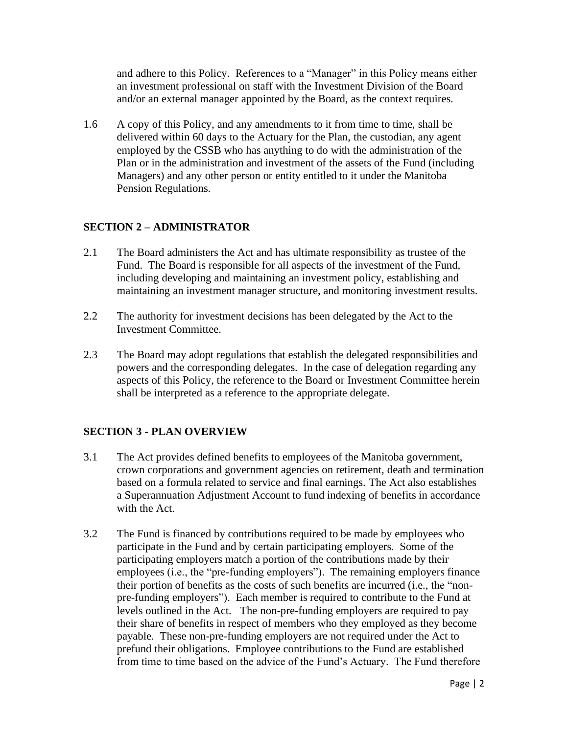and adhere to this Policy. References to a "Manager" in this Policy means either an investment professional on staff with the Investment Division of the Board and/or an external manager appointed by the Board, as the context requires.

1.6 A copy of this Policy, and any amendments to it from time to time, shall be delivered within 60 days to the Actuary for the Plan, the custodian, any agent employed by the CSSB who has anything to do with the administration of the Plan or in the administration and investment of the assets of the Fund (including Managers) and any other person or entity entitled to it under the Manitoba Pension Regulations.

## **SECTION 2 – ADMINISTRATOR**

- 2.1 The Board administers the Act and has ultimate responsibility as trustee of the Fund. The Board is responsible for all aspects of the investment of the Fund, including developing and maintaining an investment policy, establishing and maintaining an investment manager structure, and monitoring investment results.
- 2.2 The authority for investment decisions has been delegated by the Act to the Investment Committee.
- 2.3 The Board may adopt regulations that establish the delegated responsibilities and powers and the corresponding delegates. In the case of delegation regarding any aspects of this Policy, the reference to the Board or Investment Committee herein shall be interpreted as a reference to the appropriate delegate.

### **SECTION 3 - PLAN OVERVIEW**

- 3.1 The Act provides defined benefits to employees of the Manitoba government, crown corporations and government agencies on retirement, death and termination based on a formula related to service and final earnings. The Act also establishes a Superannuation Adjustment Account to fund indexing of benefits in accordance with the Act.
- 3.2 The Fund is financed by contributions required to be made by employees who participate in the Fund and by certain participating employers. Some of the participating employers match a portion of the contributions made by their employees (i.e., the "pre-funding employers"). The remaining employers finance their portion of benefits as the costs of such benefits are incurred (i.e., the "nonpre-funding employers"). Each member is required to contribute to the Fund at levels outlined in the Act. The non-pre-funding employers are required to pay their share of benefits in respect of members who they employed as they become payable. These non-pre-funding employers are not required under the Act to prefund their obligations. Employee contributions to the Fund are established from time to time based on the advice of the Fund's Actuary. The Fund therefore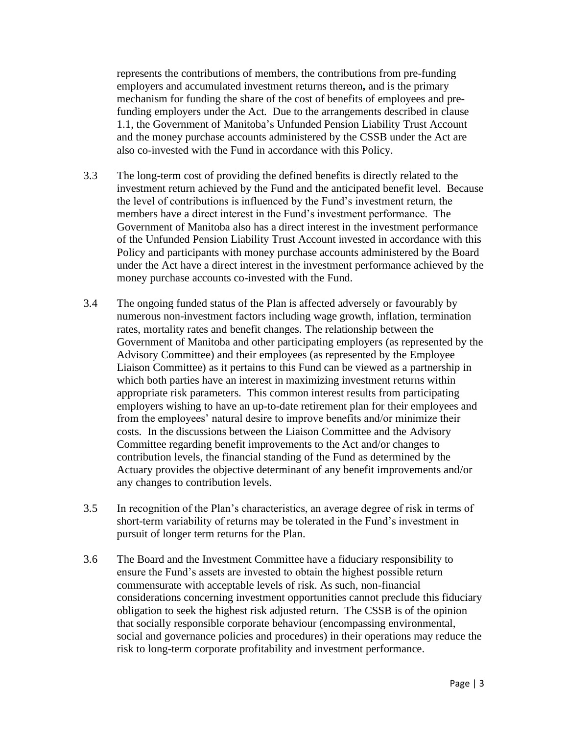represents the contributions of members, the contributions from pre-funding employers and accumulated investment returns thereon**,** and is the primary mechanism for funding the share of the cost of benefits of employees and prefunding employers under the Act. Due to the arrangements described in clause 1.1, the Government of Manitoba's Unfunded Pension Liability Trust Account and the money purchase accounts administered by the CSSB under the Act are also co-invested with the Fund in accordance with this Policy.

- 3.3 The long-term cost of providing the defined benefits is directly related to the investment return achieved by the Fund and the anticipated benefit level. Because the level of contributions is influenced by the Fund's investment return, the members have a direct interest in the Fund's investment performance. The Government of Manitoba also has a direct interest in the investment performance of the Unfunded Pension Liability Trust Account invested in accordance with this Policy and participants with money purchase accounts administered by the Board under the Act have a direct interest in the investment performance achieved by the money purchase accounts co-invested with the Fund.
- 3.4 The ongoing funded status of the Plan is affected adversely or favourably by numerous non-investment factors including wage growth, inflation, termination rates, mortality rates and benefit changes. The relationship between the Government of Manitoba and other participating employers (as represented by the Advisory Committee) and their employees (as represented by the Employee Liaison Committee) as it pertains to this Fund can be viewed as a partnership in which both parties have an interest in maximizing investment returns within appropriate risk parameters. This common interest results from participating employers wishing to have an up-to-date retirement plan for their employees and from the employees' natural desire to improve benefits and/or minimize their costs. In the discussions between the Liaison Committee and the Advisory Committee regarding benefit improvements to the Act and/or changes to contribution levels, the financial standing of the Fund as determined by the Actuary provides the objective determinant of any benefit improvements and/or any changes to contribution levels.
- 3.5 In recognition of the Plan's characteristics, an average degree of risk in terms of short-term variability of returns may be tolerated in the Fund's investment in pursuit of longer term returns for the Plan.
- 3.6 The Board and the Investment Committee have a fiduciary responsibility to ensure the Fund's assets are invested to obtain the highest possible return commensurate with acceptable levels of risk. As such, non-financial considerations concerning investment opportunities cannot preclude this fiduciary obligation to seek the highest risk adjusted return. The CSSB is of the opinion that socially responsible corporate behaviour (encompassing environmental, social and governance policies and procedures) in their operations may reduce the risk to long-term corporate profitability and investment performance.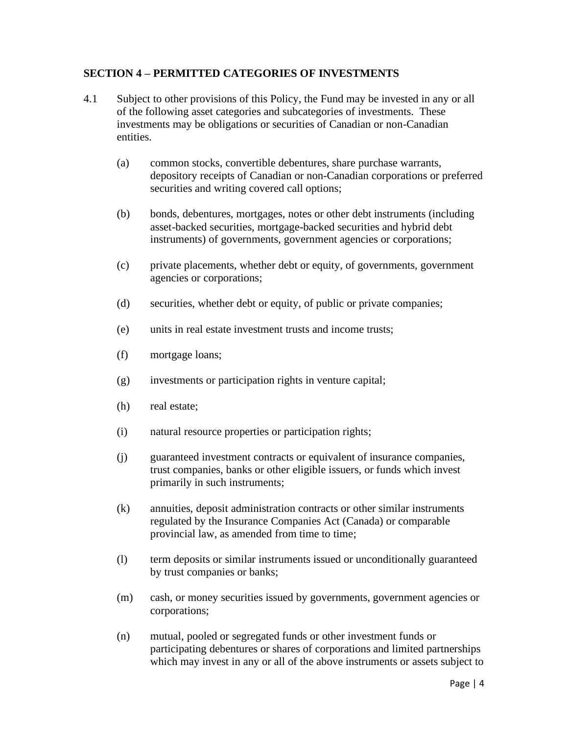#### **SECTION 4 – PERMITTED CATEGORIES OF INVESTMENTS**

- 4.1 Subject to other provisions of this Policy, the Fund may be invested in any or all of the following asset categories and subcategories of investments. These investments may be obligations or securities of Canadian or non-Canadian entities.
	- (a) common stocks, convertible debentures, share purchase warrants, depository receipts of Canadian or non-Canadian corporations or preferred securities and writing covered call options;
	- (b) bonds, debentures, mortgages, notes or other debt instruments (including asset-backed securities, mortgage-backed securities and hybrid debt instruments) of governments, government agencies or corporations;
	- (c) private placements, whether debt or equity, of governments, government agencies or corporations;
	- (d) securities, whether debt or equity, of public or private companies;
	- (e) units in real estate investment trusts and income trusts;
	- (f) mortgage loans;
	- (g) investments or participation rights in venture capital;
	- (h) real estate;
	- (i) natural resource properties or participation rights;
	- (j) guaranteed investment contracts or equivalent of insurance companies, trust companies, banks or other eligible issuers, or funds which invest primarily in such instruments;
	- (k) annuities, deposit administration contracts or other similar instruments regulated by the Insurance Companies Act (Canada) or comparable provincial law, as amended from time to time;
	- (l) term deposits or similar instruments issued or unconditionally guaranteed by trust companies or banks;
	- (m) cash, or money securities issued by governments, government agencies or corporations;
	- (n) mutual, pooled or segregated funds or other investment funds or participating debentures or shares of corporations and limited partnerships which may invest in any or all of the above instruments or assets subject to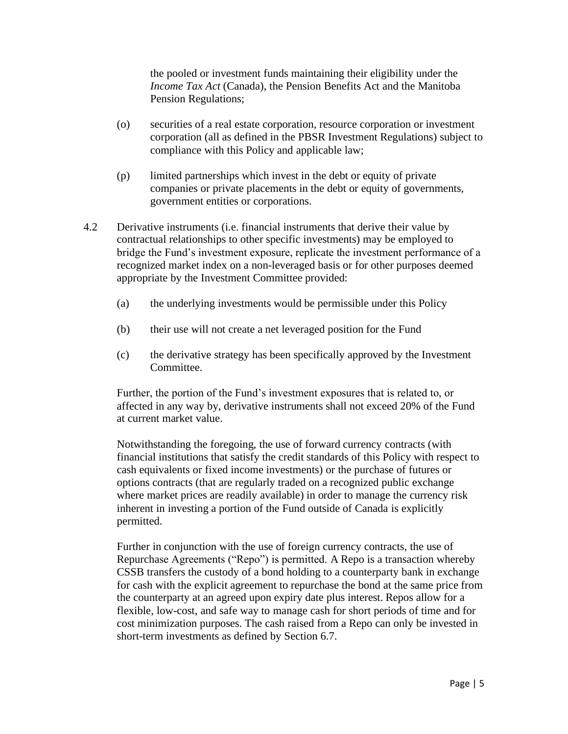the pooled or investment funds maintaining their eligibility under the *Income Tax Act* (Canada), the Pension Benefits Act and the Manitoba Pension Regulations;

- (o) securities of a real estate corporation, resource corporation or investment corporation (all as defined in the PBSR Investment Regulations) subject to compliance with this Policy and applicable law;
- (p) limited partnerships which invest in the debt or equity of private companies or private placements in the debt or equity of governments, government entities or corporations.
- 4.2 Derivative instruments (i.e. financial instruments that derive their value by contractual relationships to other specific investments) may be employed to bridge the Fund's investment exposure, replicate the investment performance of a recognized market index on a non-leveraged basis or for other purposes deemed appropriate by the Investment Committee provided:
	- (a) the underlying investments would be permissible under this Policy
	- (b) their use will not create a net leveraged position for the Fund
	- (c) the derivative strategy has been specifically approved by the Investment Committee.

Further, the portion of the Fund's investment exposures that is related to, or affected in any way by, derivative instruments shall not exceed 20% of the Fund at current market value.

Notwithstanding the foregoing, the use of forward currency contracts (with financial institutions that satisfy the credit standards of this Policy with respect to cash equivalents or fixed income investments) or the purchase of futures or options contracts (that are regularly traded on a recognized public exchange where market prices are readily available) in order to manage the currency risk inherent in investing a portion of the Fund outside of Canada is explicitly permitted.

Further in conjunction with the use of foreign currency contracts, the use of Repurchase Agreements ("Repo") is permitted. A Repo is a transaction whereby CSSB transfers the custody of a bond holding to a counterparty bank in exchange for cash with the explicit agreement to repurchase the bond at the same price from the counterparty at an agreed upon expiry date plus interest. Repos allow for a flexible, low-cost, and safe way to manage cash for short periods of time and for cost minimization purposes. The cash raised from a Repo can only be invested in short-term investments as defined by Section 6.7.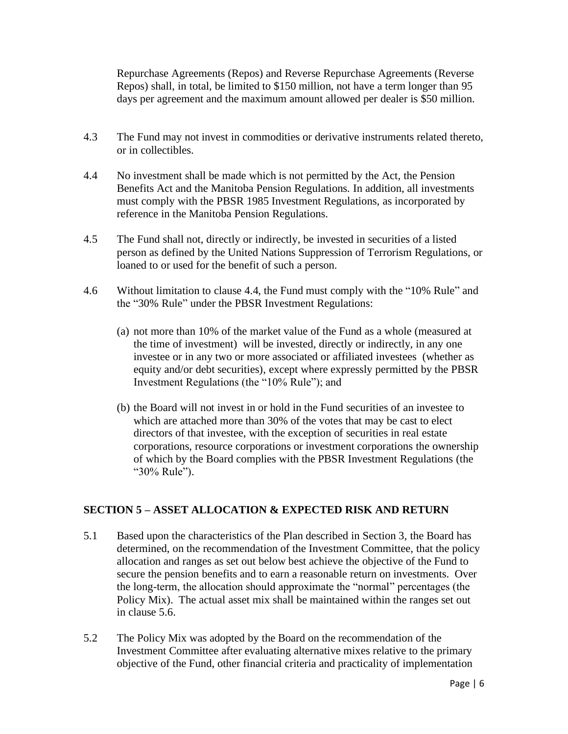Repurchase Agreements (Repos) and Reverse Repurchase Agreements (Reverse Repos) shall, in total, be limited to \$150 million, not have a term longer than 95 days per agreement and the maximum amount allowed per dealer is \$50 million.

- 4.3 The Fund may not invest in commodities or derivative instruments related thereto, or in collectibles.
- 4.4 No investment shall be made which is not permitted by the Act, the Pension Benefits Act and the Manitoba Pension Regulations. In addition, all investments must comply with the PBSR 1985 Investment Regulations, as incorporated by reference in the Manitoba Pension Regulations.
- 4.5 The Fund shall not, directly or indirectly, be invested in securities of a listed person as defined by the United Nations Suppression of Terrorism Regulations, or loaned to or used for the benefit of such a person.
- 4.6 Without limitation to clause 4.4, the Fund must comply with the "10% Rule" and the "30% Rule" under the PBSR Investment Regulations:
	- (a) not more than 10% of the market value of the Fund as a whole (measured at the time of investment) will be invested, directly or indirectly, in any one investee or in any two or more associated or affiliated investees (whether as equity and/or debt securities), except where expressly permitted by the PBSR Investment Regulations (the "10% Rule"); and
	- (b) the Board will not invest in or hold in the Fund securities of an investee to which are attached more than 30% of the votes that may be cast to elect directors of that investee, with the exception of securities in real estate corporations, resource corporations or investment corporations the ownership of which by the Board complies with the PBSR Investment Regulations (the "30% Rule").

## **SECTION 5 – ASSET ALLOCATION & EXPECTED RISK AND RETURN**

- 5.1 Based upon the characteristics of the Plan described in Section 3, the Board has determined, on the recommendation of the Investment Committee, that the policy allocation and ranges as set out below best achieve the objective of the Fund to secure the pension benefits and to earn a reasonable return on investments. Over the long-term, the allocation should approximate the "normal" percentages (the Policy Mix). The actual asset mix shall be maintained within the ranges set out in clause 5.6.
- 5.2 The Policy Mix was adopted by the Board on the recommendation of the Investment Committee after evaluating alternative mixes relative to the primary objective of the Fund, other financial criteria and practicality of implementation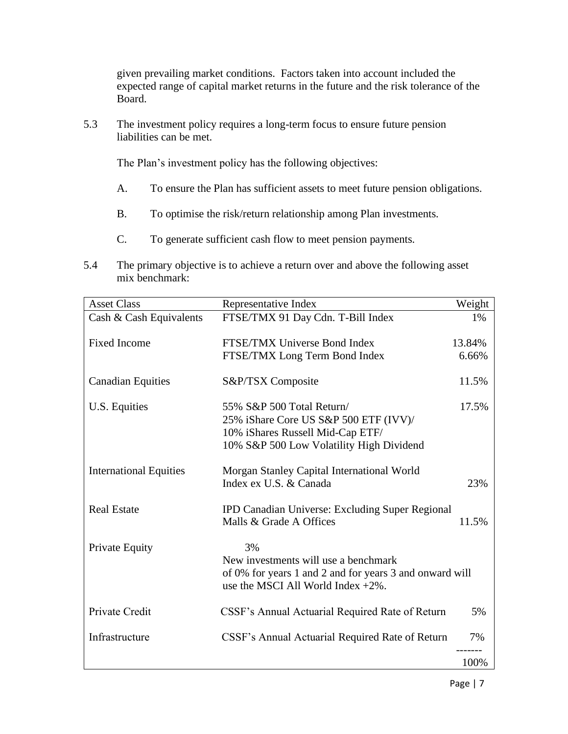given prevailing market conditions. Factors taken into account included the expected range of capital market returns in the future and the risk tolerance of the Board.

5.3 The investment policy requires a long-term focus to ensure future pension liabilities can be met.

The Plan's investment policy has the following objectives:

- A. To ensure the Plan has sufficient assets to meet future pension obligations.
- B. To optimise the risk/return relationship among Plan investments.
- C. To generate sufficient cash flow to meet pension payments.
- 5.4 The primary objective is to achieve a return over and above the following asset mix benchmark:

| <b>Asset Class</b>            | Representative Index                                                                             | Weight |
|-------------------------------|--------------------------------------------------------------------------------------------------|--------|
| Cash & Cash Equivalents       | FTSE/TMX 91 Day Cdn. T-Bill Index                                                                | 1%     |
| <b>Fixed Income</b>           | FTSE/TMX Universe Bond Index<br>13.84%                                                           |        |
|                               | FTSE/TMX Long Term Bond Index                                                                    | 6.66%  |
| <b>Canadian Equities</b>      | S&P/TSX Composite                                                                                | 11.5%  |
| U.S. Equities                 | 55% S&P 500 Total Return/                                                                        | 17.5%  |
|                               | 25% iShare Core US S&P 500 ETF (IVV)/                                                            |        |
|                               | 10% iShares Russell Mid-Cap ETF/                                                                 |        |
|                               | 10% S&P 500 Low Volatility High Dividend                                                         |        |
| <b>International Equities</b> | Morgan Stanley Capital International World                                                       |        |
|                               | Index ex U.S. & Canada                                                                           | 23%    |
|                               |                                                                                                  |        |
| <b>Real Estate</b>            | IPD Canadian Universe: Excluding Super Regional                                                  |        |
|                               | Malls & Grade A Offices                                                                          | 11.5%  |
|                               |                                                                                                  |        |
| <b>Private Equity</b>         | 3%                                                                                               |        |
|                               | New investments will use a benchmark                                                             |        |
|                               | of 0% for years 1 and 2 and for years 3 and onward will<br>use the MSCI All World Index $+2\%$ . |        |
|                               |                                                                                                  |        |
| Private Credit                | CSSF's Annual Actuarial Required Rate of Return                                                  | 5%     |
| Infrastructure                | CSSF's Annual Actuarial Required Rate of Return                                                  | 7%     |
|                               |                                                                                                  | 100%   |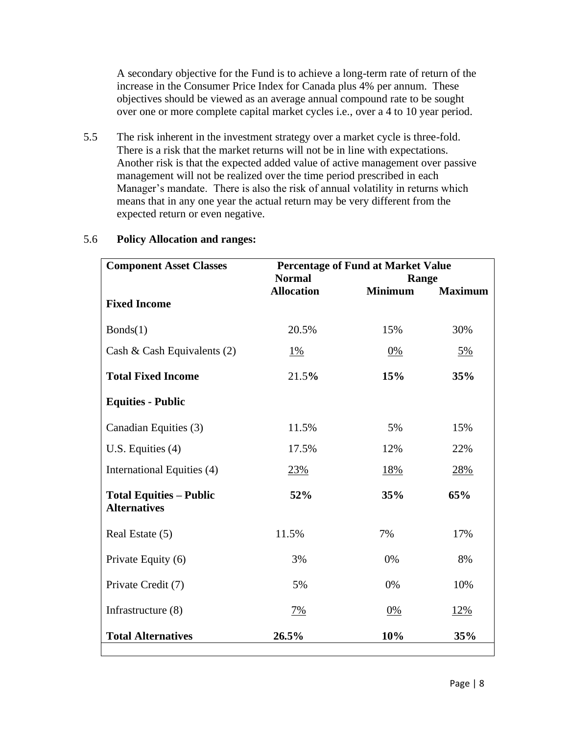A secondary objective for the Fund is to achieve a long-term rate of return of the increase in the Consumer Price Index for Canada plus 4% per annum. These objectives should be viewed as an average annual compound rate to be sought over one or more complete capital market cycles i.e., over a 4 to 10 year period.

5.5 The risk inherent in the investment strategy over a market cycle is three-fold. There is a risk that the market returns will not be in line with expectations. Another risk is that the expected added value of active management over passive management will not be realized over the time period prescribed in each Manager's mandate. There is also the risk of annual volatility in returns which means that in any one year the actual return may be very different from the expected return or even negative.

| <b>Percentage of Fund at Market Value</b> |                   |                |
|-------------------------------------------|-------------------|----------------|
| <b>Normal</b>                             | Range             |                |
|                                           |                   | <b>Maximum</b> |
|                                           |                   |                |
| 20.5%                                     | 15%               | 30%            |
| $1\%$                                     | 0%                | 5%             |
| 21.5%                                     | 15%               | 35%            |
|                                           |                   |                |
| 11.5%                                     | 5%                | 15%            |
| 17.5%                                     | 12%               | 22%            |
| 23%                                       | 18%               | 28%            |
| 52%                                       | 35%               | 65%            |
| 11.5%                                     | 7%                | 17%            |
| 3%                                        | 0%                | 8%             |
| 5%                                        | 0%                | 10%            |
| $7\%$                                     | $0\%$             | 12%            |
| 26.5%                                     | 10%               | 35%            |
|                                           | <b>Allocation</b> | <b>Minimum</b> |

### 5.6 **Policy Allocation and ranges:**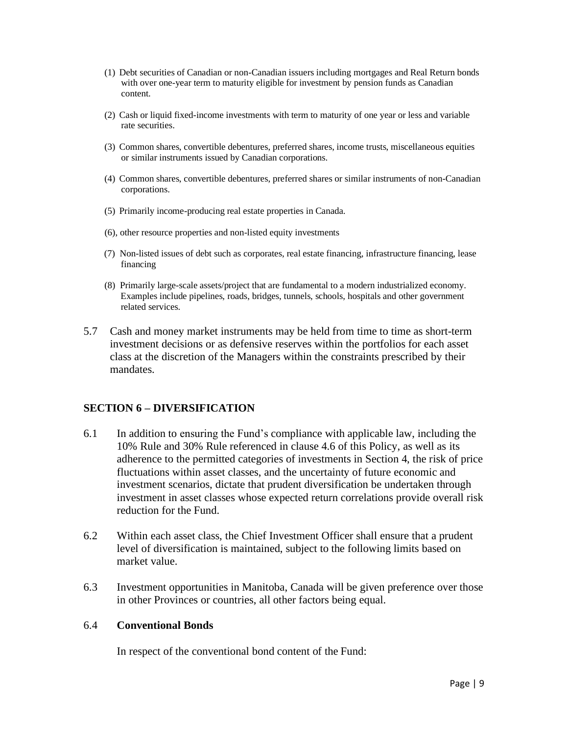- (1) Debt securities of Canadian or non-Canadian issuers including mortgages and Real Return bonds with over one-year term to maturity eligible for investment by pension funds as Canadian content.
- (2) Cash or liquid fixed-income investments with term to maturity of one year or less and variable rate securities.
- (3) Common shares, convertible debentures, preferred shares, income trusts, miscellaneous equities or similar instruments issued by Canadian corporations.
- (4) Common shares, convertible debentures, preferred shares or similar instruments of non-Canadian corporations.
- (5) Primarily income-producing real estate properties in Canada.
- (6), other resource properties and non-listed equity investments
- (7) Non-listed issues of debt such as corporates, real estate financing, infrastructure financing, lease financing
- (8) Primarily large-scale assets/project that are fundamental to a modern industrialized economy. Examples include pipelines, roads, bridges, tunnels, schools, hospitals and other government related services.
- 5.7 Cash and money market instruments may be held from time to time as short-term investment decisions or as defensive reserves within the portfolios for each asset class at the discretion of the Managers within the constraints prescribed by their mandates.

#### **SECTION 6 – DIVERSIFICATION**

- 6.1 In addition to ensuring the Fund's compliance with applicable law, including the 10% Rule and 30% Rule referenced in clause 4.6 of this Policy, as well as its adherence to the permitted categories of investments in Section 4, the risk of price fluctuations within asset classes, and the uncertainty of future economic and investment scenarios, dictate that prudent diversification be undertaken through investment in asset classes whose expected return correlations provide overall risk reduction for the Fund.
- 6.2 Within each asset class, the Chief Investment Officer shall ensure that a prudent level of diversification is maintained, subject to the following limits based on market value.
- 6.3 Investment opportunities in Manitoba, Canada will be given preference over those in other Provinces or countries, all other factors being equal.

#### 6.4 **Conventional Bonds**

In respect of the conventional bond content of the Fund: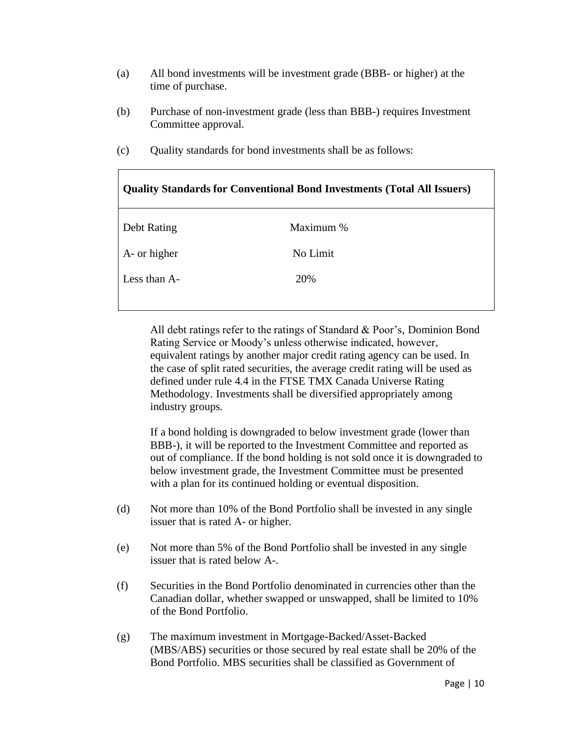- (a) All bond investments will be investment grade (BBB- or higher) at the time of purchase.
- (b) Purchase of non-investment grade (less than BBB-) requires Investment Committee approval.
- (c) Quality standards for bond investments shall be as follows:

| <b>Quality Standards for Conventional Bond Investments (Total All Issuers)</b> |  |  |
|--------------------------------------------------------------------------------|--|--|
| Maximum %                                                                      |  |  |
| No Limit                                                                       |  |  |
| 20%                                                                            |  |  |
|                                                                                |  |  |

All debt ratings refer to the ratings of Standard & Poor's, Dominion Bond Rating Service or Moody's unless otherwise indicated, however, equivalent ratings by another major credit rating agency can be used. In the case of split rated securities, the average credit rating will be used as defined under rule 4.4 in the FTSE TMX Canada Universe Rating Methodology. Investments shall be diversified appropriately among industry groups.

If a bond holding is downgraded to below investment grade (lower than BBB-), it will be reported to the Investment Committee and reported as out of compliance. If the bond holding is not sold once it is downgraded to below investment grade, the Investment Committee must be presented with a plan for its continued holding or eventual disposition.

- (d) Not more than 10% of the Bond Portfolio shall be invested in any single issuer that is rated A- or higher.
- (e) Not more than 5% of the Bond Portfolio shall be invested in any single issuer that is rated below A-.
- (f) Securities in the Bond Portfolio denominated in currencies other than the Canadian dollar, whether swapped or unswapped, shall be limited to 10% of the Bond Portfolio.
- (g) The maximum investment in Mortgage-Backed/Asset-Backed (MBS/ABS) securities or those secured by real estate shall be 20% of the Bond Portfolio. MBS securities shall be classified as Government of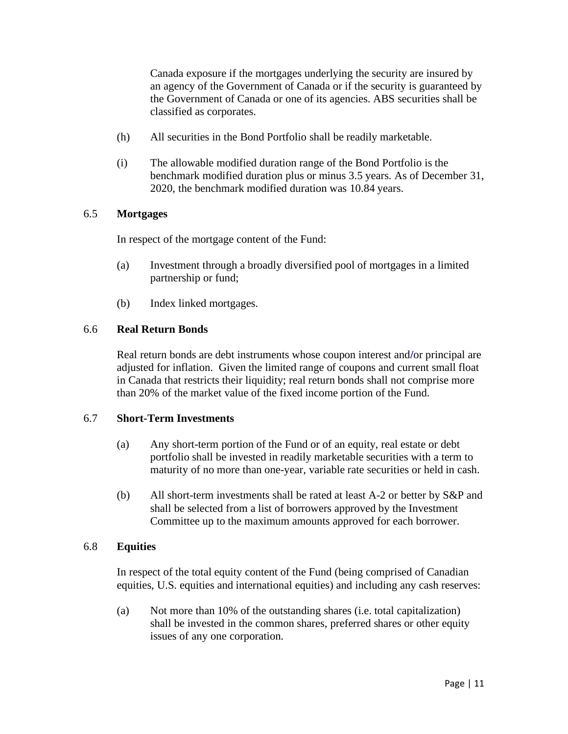Canada exposure if the mortgages underlying the security are insured by an agency of the Government of Canada or if the security is guaranteed by the Government of Canada or one of its agencies. ABS securities shall be classified as corporates.

- (h) All securities in the Bond Portfolio shall be readily marketable.
- (i) The allowable modified duration range of the Bond Portfolio is the benchmark modified duration plus or minus 3.5 years. As of December 31, 2020, the benchmark modified duration was 10.84 years.

#### 6.5 **Mortgages**

In respect of the mortgage content of the Fund:

- (a) Investment through a broadly diversified pool of mortgages in a limited partnership or fund;
- (b) Index linked mortgages.

#### 6.6 **Real Return Bonds**

Real return bonds are debt instruments whose coupon interest and**/**or principal are adjusted for inflation. Given the limited range of coupons and current small float in Canada that restricts their liquidity; real return bonds shall not comprise more than 20% of the market value of the fixed income portion of the Fund.

#### 6.7 **Short-Term Investments**

- (a) Any short-term portion of the Fund or of an equity, real estate or debt portfolio shall be invested in readily marketable securities with a term to maturity of no more than one-year, variable rate securities or held in cash.
- (b) All short-term investments shall be rated at least A-2 or better by S&P and shall be selected from a list of borrowers approved by the Investment Committee up to the maximum amounts approved for each borrower.

#### 6.8 **Equities**

In respect of the total equity content of the Fund (being comprised of Canadian equities, U.S. equities and international equities) and including any cash reserves:

(a) Not more than 10% of the outstanding shares (i.e. total capitalization) shall be invested in the common shares, preferred shares or other equity issues of any one corporation.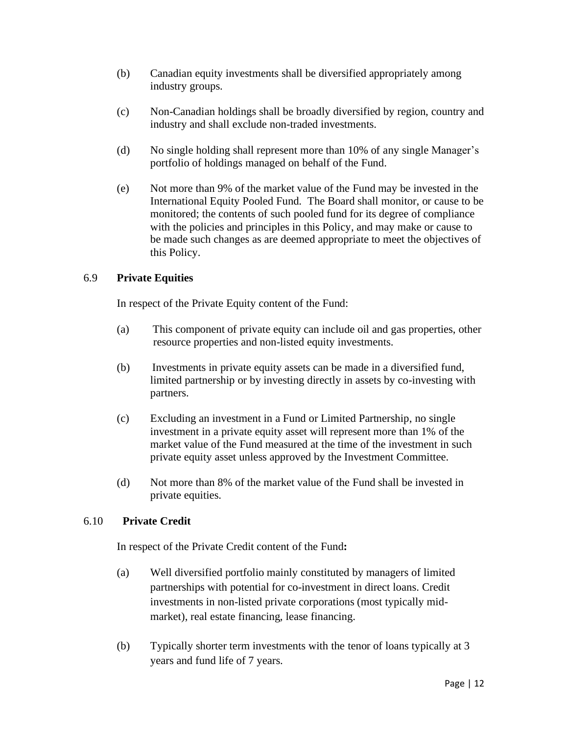- (b) Canadian equity investments shall be diversified appropriately among industry groups.
- (c) Non-Canadian holdings shall be broadly diversified by region, country and industry and shall exclude non-traded investments.
- (d) No single holding shall represent more than 10% of any single Manager's portfolio of holdings managed on behalf of the Fund.
- (e) Not more than 9% of the market value of the Fund may be invested in the International Equity Pooled Fund. The Board shall monitor, or cause to be monitored; the contents of such pooled fund for its degree of compliance with the policies and principles in this Policy, and may make or cause to be made such changes as are deemed appropriate to meet the objectives of this Policy.

### 6.9 **Private Equities**

In respect of the Private Equity content of the Fund:

- (a) This component of private equity can include oil and gas properties, other resource properties and non-listed equity investments.
- (b) Investments in private equity assets can be made in a diversified fund, limited partnership or by investing directly in assets by co-investing with partners.
- (c) Excluding an investment in a Fund or Limited Partnership, no single investment in a private equity asset will represent more than 1% of the market value of the Fund measured at the time of the investment in such private equity asset unless approved by the Investment Committee.
- (d) Not more than 8% of the market value of the Fund shall be invested in private equities.

### 6.10 **Private Credit**

In respect of the Private Credit content of the Fund**:**

- (a) Well diversified portfolio mainly constituted by managers of limited partnerships with potential for co-investment in direct loans. Credit investments in non-listed private corporations (most typically midmarket), real estate financing, lease financing.
- (b) Typically shorter term investments with the tenor of loans typically at 3 years and fund life of 7 years.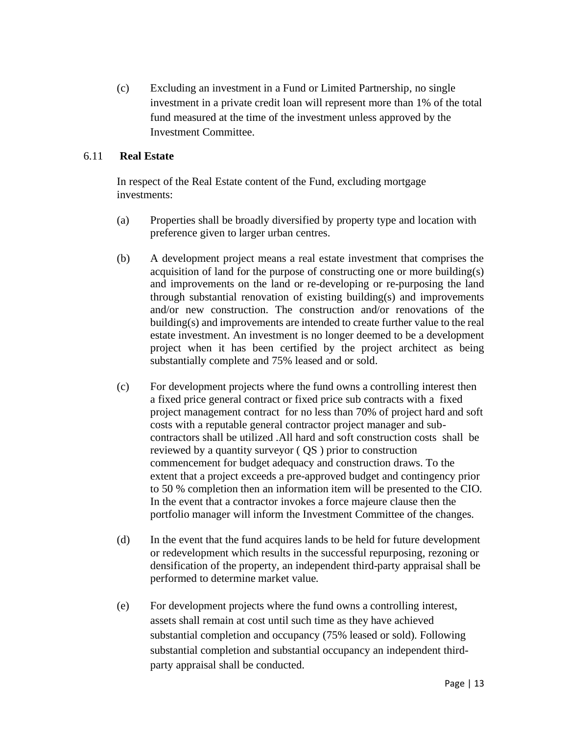(c) Excluding an investment in a Fund or Limited Partnership, no single investment in a private credit loan will represent more than 1% of the total fund measured at the time of the investment unless approved by the Investment Committee.

#### 6.11 **Real Estate**

In respect of the Real Estate content of the Fund, excluding mortgage investments:

- (a) Properties shall be broadly diversified by property type and location with preference given to larger urban centres.
- (b) A development project means a real estate investment that comprises the acquisition of land for the purpose of constructing one or more building(s) and improvements on the land or re-developing or re-purposing the land through substantial renovation of existing building(s) and improvements and/or new construction. The construction and/or renovations of the building(s) and improvements are intended to create further value to the real estate investment. An investment is no longer deemed to be a development project when it has been certified by the project architect as being substantially complete and 75% leased and or sold.
- (c) For development projects where the fund owns a controlling interest then a fixed price general contract or fixed price sub contracts with a fixed project management contract for no less than 70% of project hard and soft costs with a reputable general contractor project manager and subcontractors shall be utilized .All hard and soft construction costs shall be reviewed by a quantity surveyor ( QS ) prior to construction commencement for budget adequacy and construction draws. To the extent that a project exceeds a pre-approved budget and contingency prior to 50 % completion then an information item will be presented to the CIO. In the event that a contractor invokes a force majeure clause then the portfolio manager will inform the Investment Committee of the changes.
- (d) In the event that the fund acquires lands to be held for future development or redevelopment which results in the successful repurposing, rezoning or densification of the property, an independent third-party appraisal shall be performed to determine market value.
- (e) For development projects where the fund owns a controlling interest, assets shall remain at cost until such time as they have achieved substantial completion and occupancy (75% leased or sold). Following substantial completion and substantial occupancy an independent thirdparty appraisal shall be conducted.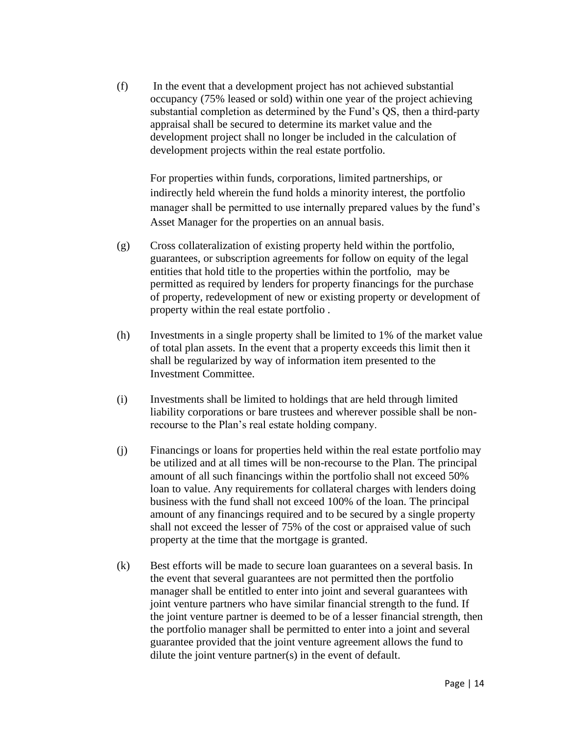(f) In the event that a development project has not achieved substantial occupancy (75% leased or sold) within one year of the project achieving substantial completion as determined by the Fund's QS, then a third-party appraisal shall be secured to determine its market value and the development project shall no longer be included in the calculation of development projects within the real estate portfolio.

For properties within funds, corporations, limited partnerships, or indirectly held wherein the fund holds a minority interest, the portfolio manager shall be permitted to use internally prepared values by the fund's Asset Manager for the properties on an annual basis.

- (g) Cross collateralization of existing property held within the portfolio, guarantees, or subscription agreements for follow on equity of the legal entities that hold title to the properties within the portfolio, may be permitted as required by lenders for property financings for the purchase of property, redevelopment of new or existing property or development of property within the real estate portfolio .
- (h) Investments in a single property shall be limited to 1% of the market value of total plan assets. In the event that a property exceeds this limit then it shall be regularized by way of information item presented to the Investment Committee.
- (i) Investments shall be limited to holdings that are held through limited liability corporations or bare trustees and wherever possible shall be nonrecourse to the Plan's real estate holding company.
- (j) Financings or loans for properties held within the real estate portfolio may be utilized and at all times will be non-recourse to the Plan. The principal amount of all such financings within the portfolio shall not exceed 50% loan to value. Any requirements for collateral charges with lenders doing business with the fund shall not exceed 100% of the loan. The principal amount of any financings required and to be secured by a single property shall not exceed the lesser of 75% of the cost or appraised value of such property at the time that the mortgage is granted.
- (k) Best efforts will be made to secure loan guarantees on a several basis. In the event that several guarantees are not permitted then the portfolio manager shall be entitled to enter into joint and several guarantees with joint venture partners who have similar financial strength to the fund. If the joint venture partner is deemed to be of a lesser financial strength, then the portfolio manager shall be permitted to enter into a joint and several guarantee provided that the joint venture agreement allows the fund to dilute the joint venture partner(s) in the event of default.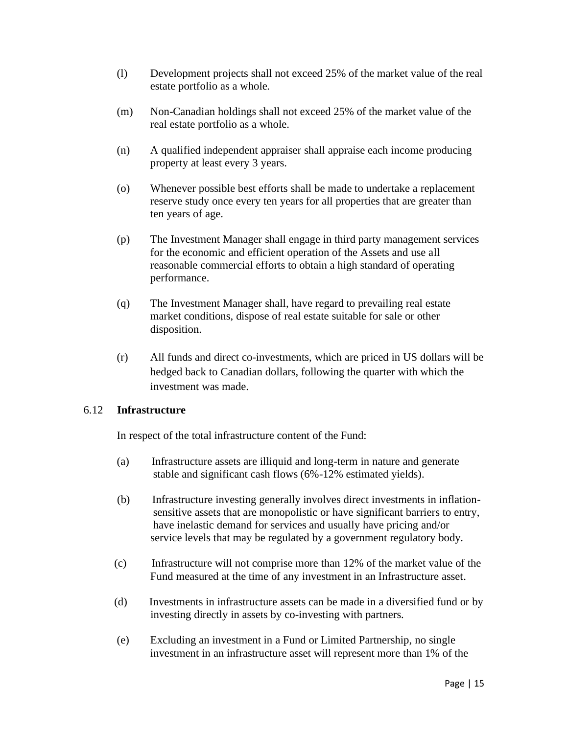- (l) Development projects shall not exceed 25% of the market value of the real estate portfolio as a whole.
- (m) Non-Canadian holdings shall not exceed 25% of the market value of the real estate portfolio as a whole.
- (n) A qualified independent appraiser shall appraise each income producing property at least every 3 years.
- (o) Whenever possible best efforts shall be made to undertake a replacement reserve study once every ten years for all properties that are greater than ten years of age.
- (p) The Investment Manager shall engage in third party management services for the economic and efficient operation of the Assets and use all reasonable commercial efforts to obtain a high standard of operating performance.
- (q) The Investment Manager shall, have regard to prevailing real estate market conditions, dispose of real estate suitable for sale or other disposition.
- (r) All funds and direct co-investments, which are priced in US dollars will be hedged back to Canadian dollars, following the quarter with which the investment was made.

#### 6.12 **Infrastructure**

In respect of the total infrastructure content of the Fund:

- (a) Infrastructure assets are illiquid and long-term in nature and generate stable and significant cash flows (6%-12% estimated yields).
- (b) Infrastructure investing generally involves direct investments in inflation sensitive assets that are monopolistic or have significant barriers to entry, have inelastic demand for services and usually have pricing and/or service levels that may be regulated by a government regulatory body.
- (c) Infrastructure will not comprise more than 12% of the market value of the Fund measured at the time of any investment in an Infrastructure asset.
- (d) Investments in infrastructure assets can be made in a diversified fund or by investing directly in assets by co-investing with partners.
- (e) Excluding an investment in a Fund or Limited Partnership, no single investment in an infrastructure asset will represent more than 1% of the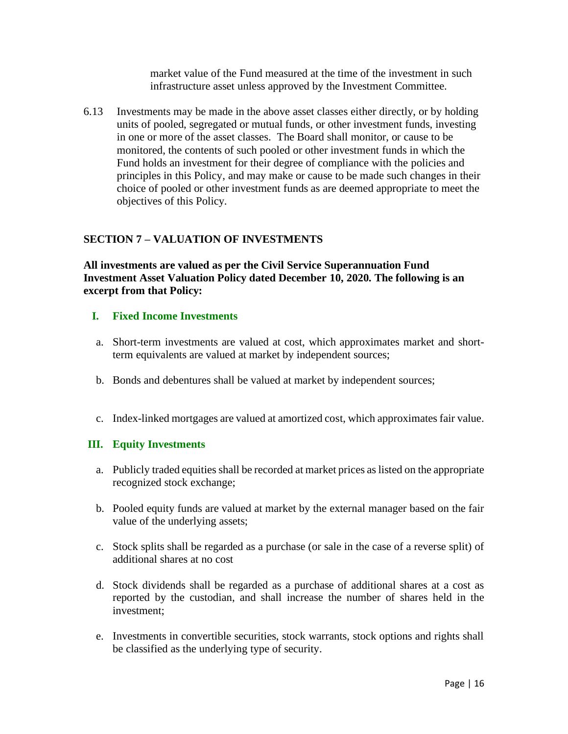market value of the Fund measured at the time of the investment in such infrastructure asset unless approved by the Investment Committee.

6.13 Investments may be made in the above asset classes either directly, or by holding units of pooled, segregated or mutual funds, or other investment funds, investing in one or more of the asset classes. The Board shall monitor, or cause to be monitored, the contents of such pooled or other investment funds in which the Fund holds an investment for their degree of compliance with the policies and principles in this Policy, and may make or cause to be made such changes in their choice of pooled or other investment funds as are deemed appropriate to meet the objectives of this Policy.

## **SECTION 7 – VALUATION OF INVESTMENTS**

**All investments are valued as per the Civil Service Superannuation Fund Investment Asset Valuation Policy dated December 10, 2020. The following is an excerpt from that Policy:**

## **I. Fixed Income Investments**

- a. Short-term investments are valued at cost, which approximates market and shortterm equivalents are valued at market by independent sources;
- b. Bonds and debentures shall be valued at market by independent sources;
- c. Index-linked mortgages are valued at amortized cost, which approximates fair value.

### **III. Equity Investments**

- a. Publicly traded equities shall be recorded at market prices as listed on the appropriate recognized stock exchange;
- b. Pooled equity funds are valued at market by the external manager based on the fair value of the underlying assets;
- c. Stock splits shall be regarded as a purchase (or sale in the case of a reverse split) of additional shares at no cost
- d. Stock dividends shall be regarded as a purchase of additional shares at a cost as reported by the custodian, and shall increase the number of shares held in the investment;
- e. Investments in convertible securities, stock warrants, stock options and rights shall be classified as the underlying type of security.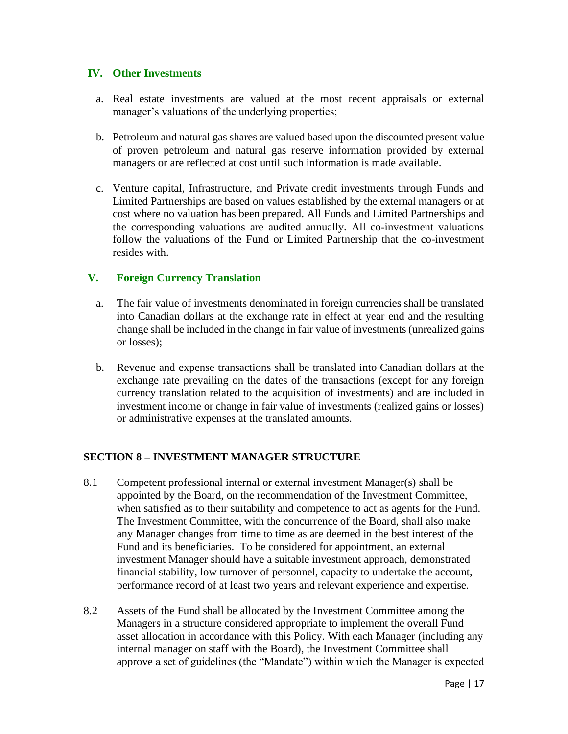#### **IV. Other Investments**

- a. Real estate investments are valued at the most recent appraisals or external manager's valuations of the underlying properties;
- b. Petroleum and natural gas shares are valued based upon the discounted present value of proven petroleum and natural gas reserve information provided by external managers or are reflected at cost until such information is made available.
- c. Venture capital, Infrastructure, and Private credit investments through Funds and Limited Partnerships are based on values established by the external managers or at cost where no valuation has been prepared. All Funds and Limited Partnerships and the corresponding valuations are audited annually. All co-investment valuations follow the valuations of the Fund or Limited Partnership that the co-investment resides with.

### **V. Foreign Currency Translation**

- a. The fair value of investments denominated in foreign currencies shall be translated into Canadian dollars at the exchange rate in effect at year end and the resulting change shall be included in the change in fair value of investments (unrealized gains or losses);
- b. Revenue and expense transactions shall be translated into Canadian dollars at the exchange rate prevailing on the dates of the transactions (except for any foreign currency translation related to the acquisition of investments) and are included in investment income or change in fair value of investments (realized gains or losses) or administrative expenses at the translated amounts.

### **SECTION 8 – INVESTMENT MANAGER STRUCTURE**

- 8.1 Competent professional internal or external investment Manager(s) shall be appointed by the Board, on the recommendation of the Investment Committee, when satisfied as to their suitability and competence to act as agents for the Fund. The Investment Committee, with the concurrence of the Board, shall also make any Manager changes from time to time as are deemed in the best interest of the Fund and its beneficiaries. To be considered for appointment, an external investment Manager should have a suitable investment approach, demonstrated financial stability, low turnover of personnel, capacity to undertake the account, performance record of at least two years and relevant experience and expertise.
- 8.2 Assets of the Fund shall be allocated by the Investment Committee among the Managers in a structure considered appropriate to implement the overall Fund asset allocation in accordance with this Policy. With each Manager (including any internal manager on staff with the Board), the Investment Committee shall approve a set of guidelines (the "Mandate") within which the Manager is expected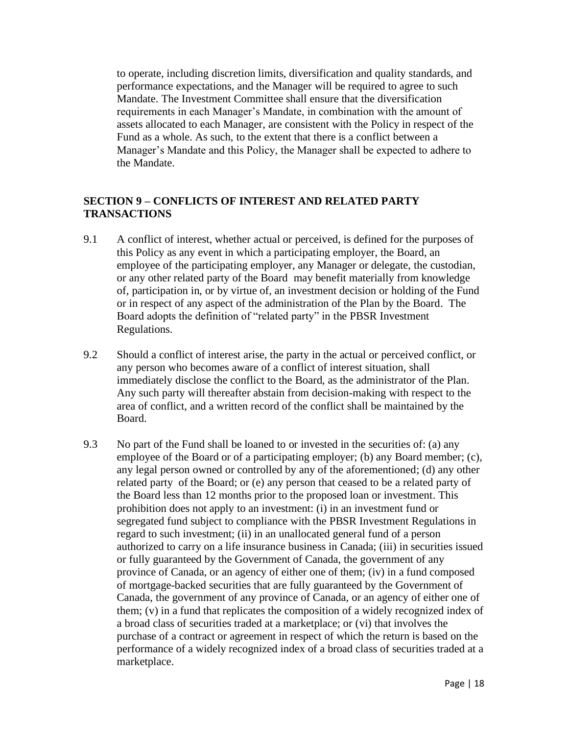to operate, including discretion limits, diversification and quality standards, and performance expectations, and the Manager will be required to agree to such Mandate. The Investment Committee shall ensure that the diversification requirements in each Manager's Mandate, in combination with the amount of assets allocated to each Manager, are consistent with the Policy in respect of the Fund as a whole. As such, to the extent that there is a conflict between a Manager's Mandate and this Policy, the Manager shall be expected to adhere to the Mandate.

### **SECTION 9 – CONFLICTS OF INTEREST AND RELATED PARTY TRANSACTIONS**

- 9.1 A conflict of interest, whether actual or perceived, is defined for the purposes of this Policy as any event in which a participating employer, the Board, an employee of the participating employer, any Manager or delegate, the custodian, or any other related party of the Board may benefit materially from knowledge of, participation in, or by virtue of, an investment decision or holding of the Fund or in respect of any aspect of the administration of the Plan by the Board. The Board adopts the definition of "related party" in the PBSR Investment Regulations.
- 9.2 Should a conflict of interest arise, the party in the actual or perceived conflict, or any person who becomes aware of a conflict of interest situation, shall immediately disclose the conflict to the Board, as the administrator of the Plan. Any such party will thereafter abstain from decision-making with respect to the area of conflict, and a written record of the conflict shall be maintained by the Board.
- 9.3 No part of the Fund shall be loaned to or invested in the securities of: (a) any employee of the Board or of a participating employer; (b) any Board member; (c), any legal person owned or controlled by any of the aforementioned; (d) any other related party of the Board; or (e) any person that ceased to be a related party of the Board less than 12 months prior to the proposed loan or investment. This prohibition does not apply to an investment: (i) in an investment fund or segregated fund subject to compliance with the PBSR Investment Regulations in regard to such investment; (ii) in an unallocated general fund of a person authorized to carry on a life insurance business in Canada; (iii) in securities issued or fully guaranteed by the Government of Canada, the government of any province of Canada, or an agency of either one of them; (iv) in a fund composed of mortgage-backed securities that are fully guaranteed by the Government of Canada, the government of any province of Canada, or an agency of either one of them; (v) in a fund that replicates the composition of a widely recognized index of a broad class of securities traded at a marketplace; or (vi) that involves the purchase of a contract or agreement in respect of which the return is based on the performance of a widely recognized index of a broad class of securities traded at a marketplace.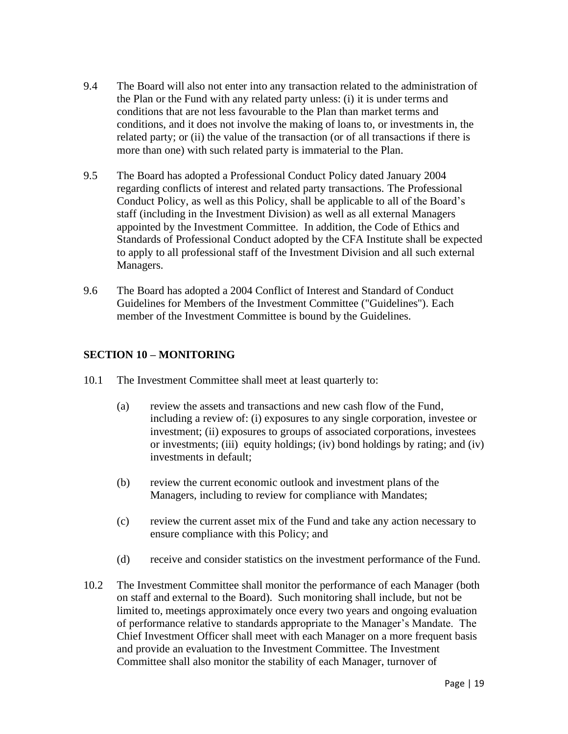- 9.4 The Board will also not enter into any transaction related to the administration of the Plan or the Fund with any related party unless: (i) it is under terms and conditions that are not less favourable to the Plan than market terms and conditions, and it does not involve the making of loans to, or investments in, the related party; or (ii) the value of the transaction (or of all transactions if there is more than one) with such related party is immaterial to the Plan.
- 9.5 The Board has adopted a Professional Conduct Policy dated January 2004 regarding conflicts of interest and related party transactions. The Professional Conduct Policy, as well as this Policy, shall be applicable to all of the Board's staff (including in the Investment Division) as well as all external Managers appointed by the Investment Committee. In addition, the Code of Ethics and Standards of Professional Conduct adopted by the CFA Institute shall be expected to apply to all professional staff of the Investment Division and all such external Managers.
- 9.6 The Board has adopted a 2004 Conflict of Interest and Standard of Conduct Guidelines for Members of the Investment Committee ("Guidelines"). Each member of the Investment Committee is bound by the Guidelines.

## **SECTION 10 – MONITORING**

- 10.1 The Investment Committee shall meet at least quarterly to:
	- (a) review the assets and transactions and new cash flow of the Fund, including a review of: (i) exposures to any single corporation, investee or investment; (ii) exposures to groups of associated corporations, investees or investments; (iii) equity holdings; (iv) bond holdings by rating; and (iv) investments in default;
	- (b) review the current economic outlook and investment plans of the Managers, including to review for compliance with Mandates;
	- (c) review the current asset mix of the Fund and take any action necessary to ensure compliance with this Policy; and
	- (d) receive and consider statistics on the investment performance of the Fund.
- 10.2 The Investment Committee shall monitor the performance of each Manager (both on staff and external to the Board). Such monitoring shall include, but not be limited to, meetings approximately once every two years and ongoing evaluation of performance relative to standards appropriate to the Manager's Mandate. The Chief Investment Officer shall meet with each Manager on a more frequent basis and provide an evaluation to the Investment Committee. The Investment Committee shall also monitor the stability of each Manager, turnover of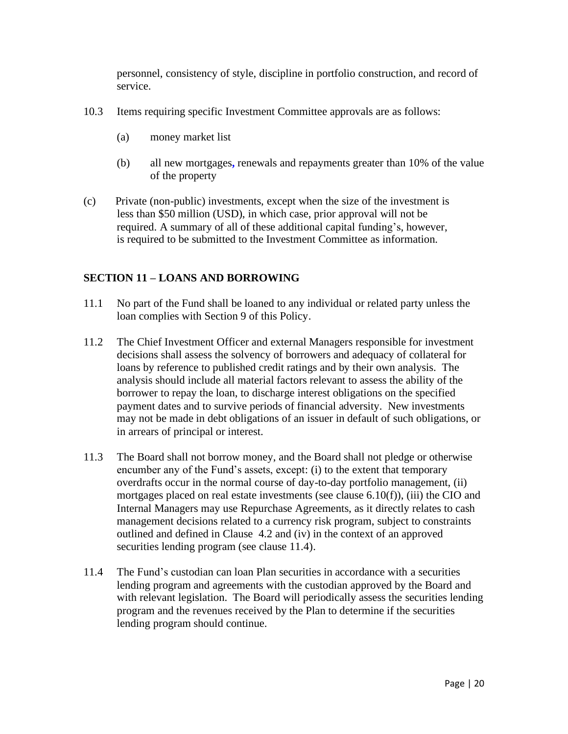personnel, consistency of style, discipline in portfolio construction, and record of service.

- 10.3 Items requiring specific Investment Committee approvals are as follows:
	- (a) money market list
	- (b) all new mortgages**,** renewals and repayments greater than 10% of the value of the property
- (c) Private (non-public) investments, except when the size of the investment is less than \$50 million (USD), in which case, prior approval will not be required. A summary of all of these additional capital funding's, however, is required to be submitted to the Investment Committee as information.

## **SECTION 11 – LOANS AND BORROWING**

- 11.1 No part of the Fund shall be loaned to any individual or related party unless the loan complies with Section 9 of this Policy.
- 11.2 The Chief Investment Officer and external Managers responsible for investment decisions shall assess the solvency of borrowers and adequacy of collateral for loans by reference to published credit ratings and by their own analysis. The analysis should include all material factors relevant to assess the ability of the borrower to repay the loan, to discharge interest obligations on the specified payment dates and to survive periods of financial adversity. New investments may not be made in debt obligations of an issuer in default of such obligations, or in arrears of principal or interest.
- 11.3 The Board shall not borrow money, and the Board shall not pledge or otherwise encumber any of the Fund's assets, except: (i) to the extent that temporary overdrafts occur in the normal course of day-to-day portfolio management, (ii) mortgages placed on real estate investments (see clause 6.10(f)), (iii) the CIO and Internal Managers may use Repurchase Agreements, as it directly relates to cash management decisions related to a currency risk program, subject to constraints outlined and defined in Clause 4.2 and (iv) in the context of an approved securities lending program (see clause 11.4).
- 11.4 The Fund's custodian can loan Plan securities in accordance with a securities lending program and agreements with the custodian approved by the Board and with relevant legislation. The Board will periodically assess the securities lending program and the revenues received by the Plan to determine if the securities lending program should continue.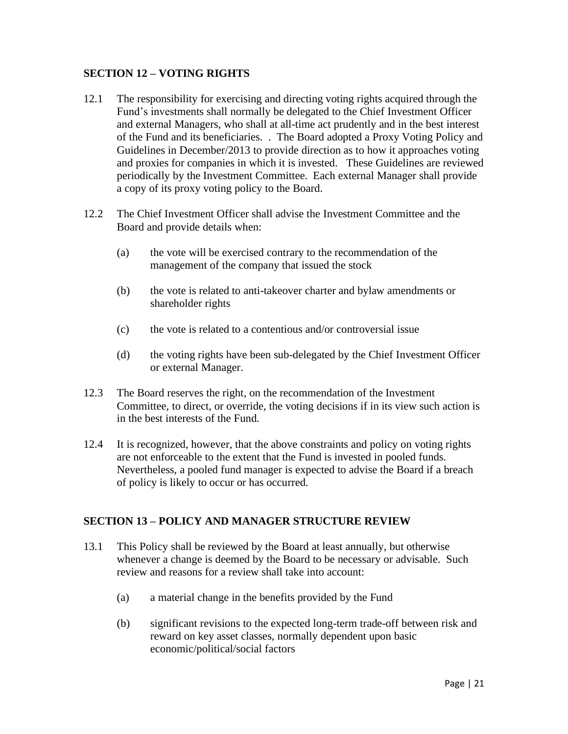### **SECTION 12 – VOTING RIGHTS**

- 12.1 The responsibility for exercising and directing voting rights acquired through the Fund's investments shall normally be delegated to the Chief Investment Officer and external Managers, who shall at all-time act prudently and in the best interest of the Fund and its beneficiaries. . The Board adopted a Proxy Voting Policy and Guidelines in December/2013 to provide direction as to how it approaches voting and proxies for companies in which it is invested. These Guidelines are reviewed periodically by the Investment Committee. Each external Manager shall provide a copy of its proxy voting policy to the Board.
- 12.2 The Chief Investment Officer shall advise the Investment Committee and the Board and provide details when:
	- (a) the vote will be exercised contrary to the recommendation of the management of the company that issued the stock
	- (b) the vote is related to anti-takeover charter and bylaw amendments or shareholder rights
	- (c) the vote is related to a contentious and/or controversial issue
	- (d) the voting rights have been sub-delegated by the Chief Investment Officer or external Manager.
- 12.3 The Board reserves the right, on the recommendation of the Investment Committee, to direct, or override, the voting decisions if in its view such action is in the best interests of the Fund.
- 12.4 It is recognized, however, that the above constraints and policy on voting rights are not enforceable to the extent that the Fund is invested in pooled funds. Nevertheless, a pooled fund manager is expected to advise the Board if a breach of policy is likely to occur or has occurred.

### **SECTION 13 – POLICY AND MANAGER STRUCTURE REVIEW**

- 13.1 This Policy shall be reviewed by the Board at least annually, but otherwise whenever a change is deemed by the Board to be necessary or advisable. Such review and reasons for a review shall take into account:
	- (a) a material change in the benefits provided by the Fund
	- (b) significant revisions to the expected long-term trade-off between risk and reward on key asset classes, normally dependent upon basic economic/political/social factors